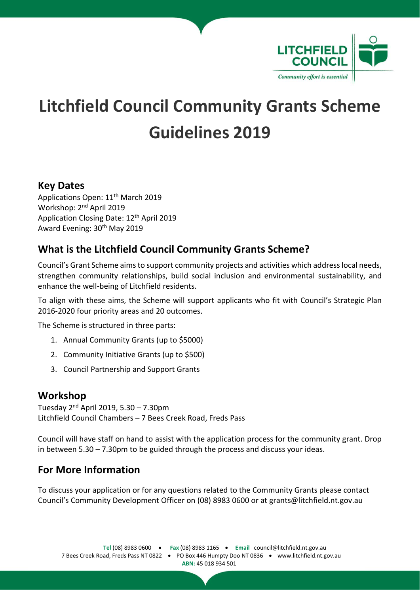

# **Litchfield Council Community Grants Scheme Guidelines 2019**

# **Key Dates**

Applications Open: 11th March 2019 Workshop: 2nd April 2019 Application Closing Date: 12th April 2019 Award Evening: 30th May 2019

# **What is the Litchfield Council Community Grants Scheme?**

Council's Grant Scheme aimsto support community projects and activities which addresslocal needs, strengthen community relationships, build social inclusion and environmental sustainability, and enhance the well-being of Litchfield residents.

To align with these aims, the Scheme will support applicants who fit with Council's Strategic Plan 2016-2020 four priority areas and 20 outcomes.

The Scheme is structured in three parts:

- 1. Annual Community Grants (up to \$5000)
- 2. Community Initiative Grants (up to \$500)
- 3. Council Partnership and Support Grants

## **Workshop**

Tuesday 2<sup>nd</sup> April 2019, 5.30 – 7.30pm Litchfield Council Chambers – 7 Bees Creek Road, Freds Pass

Council will have staff on hand to assist with the application process for the community grant. Drop in between  $5.30 - 7.30$  pm to be guided through the process and discuss your ideas.

# **For More Information**

To discuss your application or for any questions related to the Community Grants please contact Council's Community Development Officer on (08) 8983 0600 or at grants@litchfield.nt.gov.au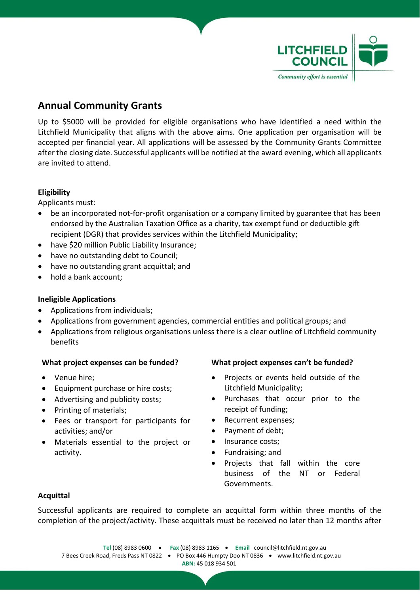

# **Annual Community Grants**

Up to \$5000 will be provided for eligible organisations who have identified a need within the Litchfield Municipality that aligns with the above aims. One application per organisation will be accepted per financial year. All applications will be assessed by the Community Grants Committee after the closing date. Successful applicants will be notified at the award evening, which all applicants are invited to attend.

### **Eligibility**

Applicants must:

- be an incorporated not-for-profit organisation or a company limited by guarantee that has been endorsed by the Australian Taxation Office as a charity, tax exempt fund or deductible gift recipient (DGR) that provides services within the Litchfield Municipality;
- have \$20 million Public Liability Insurance;
- have no outstanding debt to Council;
- have no outstanding grant acquittal; and
- hold a bank account:

#### **Ineligible Applications**

- Applications from individuals;
- Applications from government agencies, commercial entities and political groups; and
- Applications from religious organisations unless there is a clear outline of Litchfield community benefits

- Venue hire;
- Equipment purchase or hire costs;
- Advertising and publicity costs;
- Printing of materials;
- Fees or transport for participants for activities; and/or
- Materials essential to the project or activity.

#### **What project expenses can be funded? What project expenses can't be funded?**

- Projects or events held outside of the Litchfield Municipality;
- Purchases that occur prior to the receipt of funding;
- Recurrent expenses;
- Payment of debt;
- Insurance costs;
- Fundraising; and
- Projects that fall within the core business of the NT or Federal Governments.

#### **Acquittal**

Successful applicants are required to complete an acquittal form within three months of the completion of the project/activity. These acquittals must be received no later than 12 months after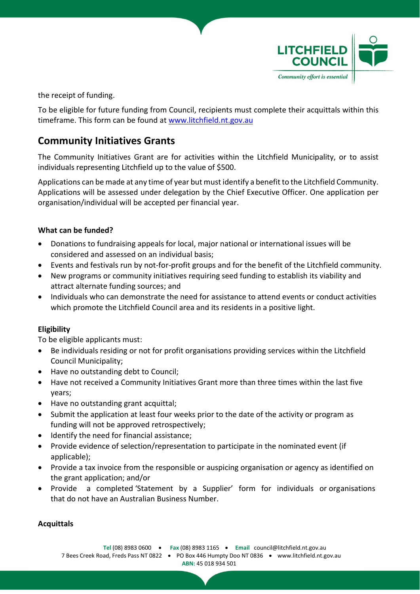

the receipt of funding.

To be eligible for future funding from Council, recipients must complete their acquittals within this timeframe. This form can be found at [www.litchfield.nt.gov.au](http://www.litchfield.nt.gov.au/)

# **Community Initiatives Grants**

The Community Initiatives Grant are for activities within the Litchfield Municipality, or to assist individuals representing Litchfield up to the value of \$500.

Applications can be made at any time of year but must identify a benefitto the Litchfield Community. Applications will be assessed under delegation by the Chief Executive Officer. One application per organisation/individual will be accepted per financial year.

### **What can be funded?**

- Donations to fundraising appeals for local, major national or international issues will be considered and assessed on an individual basis;
- Events and festivals run by not-for-profit groups and for the benefit of the Litchfield community.
- New programs or community initiatives requiring seed funding to establish its viability and attract alternate funding sources; and
- Individuals who can demonstrate the need for assistance to attend events or conduct activities which promote the Litchfield Council area and its residents in a positive light.

### **Eligibility**

To be eligible applicants must:

- Be individuals residing or not for profit organisations providing services within the Litchfield Council Municipality;
- Have no outstanding debt to Council;
- Have not received a Community Initiatives Grant more than three times within the last five years;
- Have no outstanding grant acquittal;
- Submit the application at least four weeks prior to the date of the activity or program as funding will not be approved retrospectively;
- Identify the need for financial assistance;
- Provide evidence of selection/representation to participate in the nominated event (if applicable);
- Provide a tax invoice from the responsible or auspicing organisation or agency as identified on the grant application; and/or
- Provide a completed 'Statement by a Supplier' form for individuals or organisations that do not have an Australian Business Number.

#### **Acquittals**